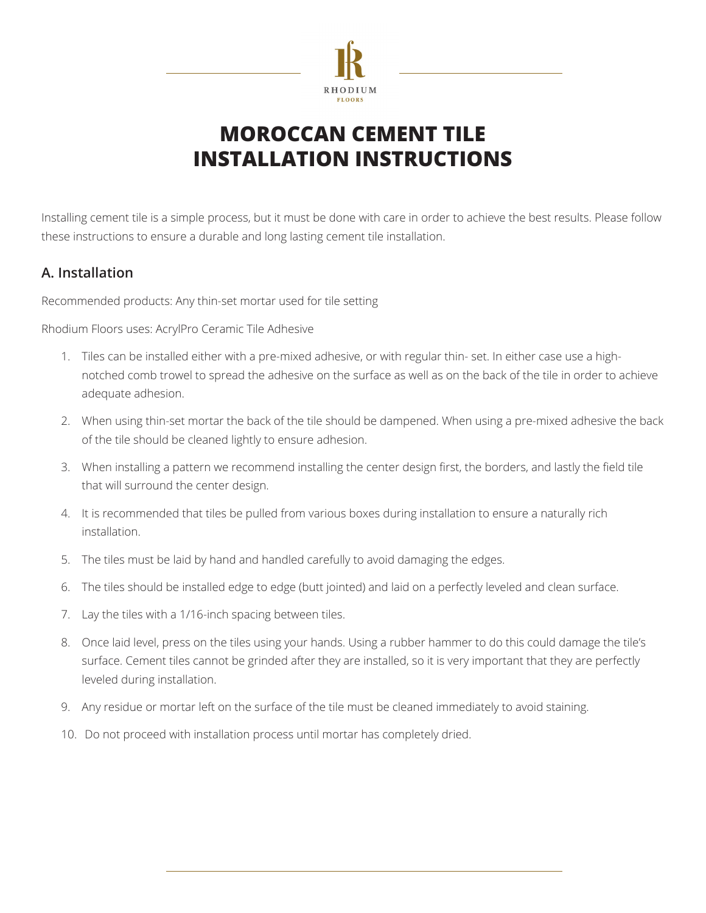

# **MOROCCAN CEMENT TILE INSTALLATION INSTRUCTIONS**

Installing cement tile is a simple process, but it must be done with care in order to achieve the best results. Please follow these instructions to ensure a durable and long lasting cement tile installation.

#### **A. Installation**

Recommended products: Any thin-set mortar used for tile setting

Rhodium Floors uses: AcrylPro Ceramic Tile Adhesive

- 1. Tiles can be installed either with a pre-mixed adhesive, or with regular thin- set. In either case use a highnotched comb trowel to spread the adhesive on the surface as well as on the back of the tile in order to achieve adequate adhesion.
- 2. When using thin-set mortar the back of the tile should be dampened. When using a pre-mixed adhesive the back of the tile should be cleaned lightly to ensure adhesion.
- 3. When installing a pattern we recommend installing the center design first, the borders, and lastly the field tile that will surround the center design.
- 4. It is recommended that tiles be pulled from various boxes during installation to ensure a naturally rich installation.
- 5. The tiles must be laid by hand and handled carefully to avoid damaging the edges.
- 6. The tiles should be installed edge to edge (butt jointed) and laid on a perfectly leveled and clean surface.
- 7. Lay the tiles with a 1/16-inch spacing between tiles.
- 8. Once laid level, press on the tiles using your hands. Using a rubber hammer to do this could damage the tile's surface. Cement tiles cannot be grinded after they are installed, so it is very important that they are perfectly leveled during installation.
- 9. Any residue or mortar left on the surface of the tile must be cleaned immediately to avoid staining.
- 10. Do not proceed with installation process until mortar has completely dried.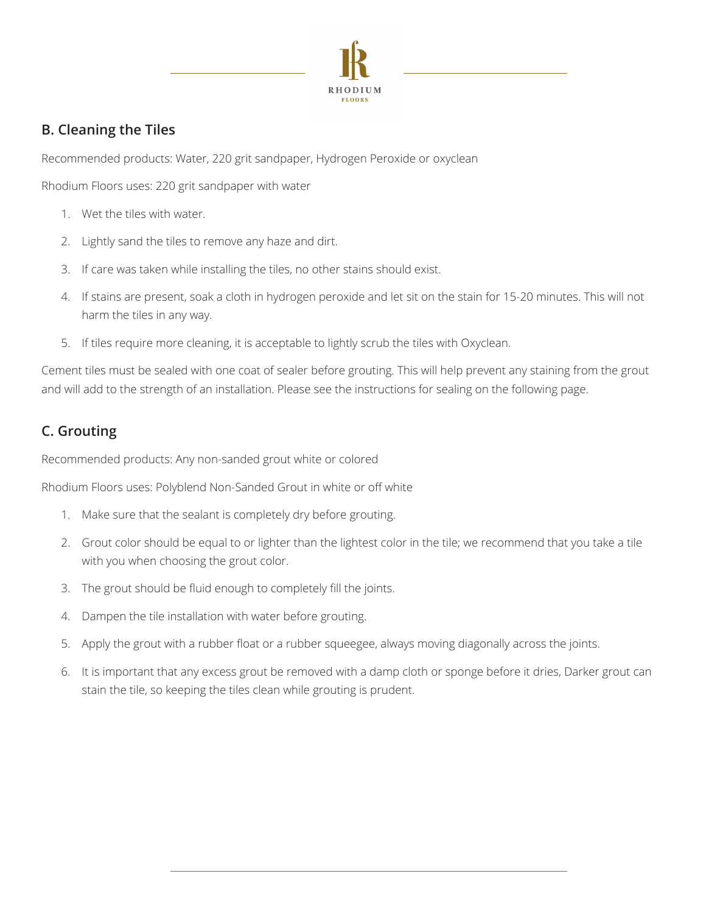

## **B. Cleaning the Tiles**

Recommended products: Water, 220 grit sandpaper, Hydrogen Peroxide or oxyclean

Rhodium Floors uses: 220 grit sandpaper with water

- 1. Wet the tiles with water.
- 2. Lightly sand the tiles to remove any haze and dirt.
- 3. If care was taken while installing the tiles, no other stains should exist.
- 4. If stains are present, soak a cloth in hydrogen peroxide and let sit on the stain for 15-20 minutes. This will not harm the tiles in any way.
- 5. If tiles require more cleaning, it is acceptable to lightly scrub the tiles with Oxyclean.

Cement tiles must be sealed with one coat of sealer before grouting. This will help prevent any staining from the grout and will add to the strength of an installation. Please see the instructions for sealing on the following page.

## **C. Grouting**

Recommended products: Any non-sanded grout white or colored

Rhodium Floors uses: Polyblend Non-Sanded Grout in white or off white

- 1. Make sure that the sealant is completely dry before grouting.
- 2. Grout color should be equal to or lighter than the lightest color in the tile; we recommend that you take a tile with you when choosing the grout color.
- 3. The grout should be fluid enough to completely fill the joints.
- 4. Dampen the tile installation with water before grouting.
- 5. Apply the grout with a rubber float or a rubber squeegee, always moving diagonally across the joints.
- 6. It is important that any excess grout be removed with a damp cloth or sponge before it dries, Darker grout can stain the tile, so keeping the tiles clean while grouting is prudent.